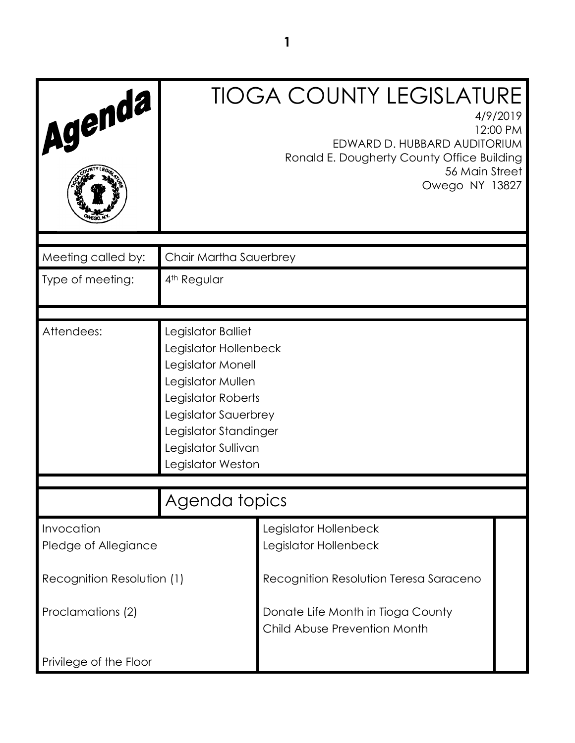| Agenda                             |                                                                                                                                                                                                          | <b>TIOGA COUNTY LEGISLATURE</b><br>4/9/2019<br>12:00 PM<br>EDWARD D. HUBBARD AUDITORIUM<br>Ronald E. Dougherty County Office Building<br>56 Main Street<br>Owego NY 13827 |  |
|------------------------------------|----------------------------------------------------------------------------------------------------------------------------------------------------------------------------------------------------------|---------------------------------------------------------------------------------------------------------------------------------------------------------------------------|--|
| Meeting called by:                 | Chair Martha Sauerbrey                                                                                                                                                                                   |                                                                                                                                                                           |  |
| Type of meeting:                   | 4 <sup>th</sup> Regular                                                                                                                                                                                  |                                                                                                                                                                           |  |
| Attendees:                         | Legislator Balliet<br>Legislator Hollenbeck<br>Legislator Monell<br>Legislator Mullen<br>Legislator Roberts<br>Legislator Sauerbrey<br>Legislator Standinger<br>Legislator Sullivan<br>Legislator Weston |                                                                                                                                                                           |  |
|                                    | Agenda topics                                                                                                                                                                                            |                                                                                                                                                                           |  |
| Invocation<br>Pledge of Allegiance |                                                                                                                                                                                                          | Legislator Hollenbeck<br>Legislator Hollenbeck                                                                                                                            |  |
| Recognition Resolution (1)         |                                                                                                                                                                                                          | Recognition Resolution Teresa Saraceno                                                                                                                                    |  |
| Proclamations (2)                  |                                                                                                                                                                                                          | Donate Life Month in Tioga County<br>Child Abuse Prevention Month                                                                                                         |  |
| Privilege of the Floor             |                                                                                                                                                                                                          |                                                                                                                                                                           |  |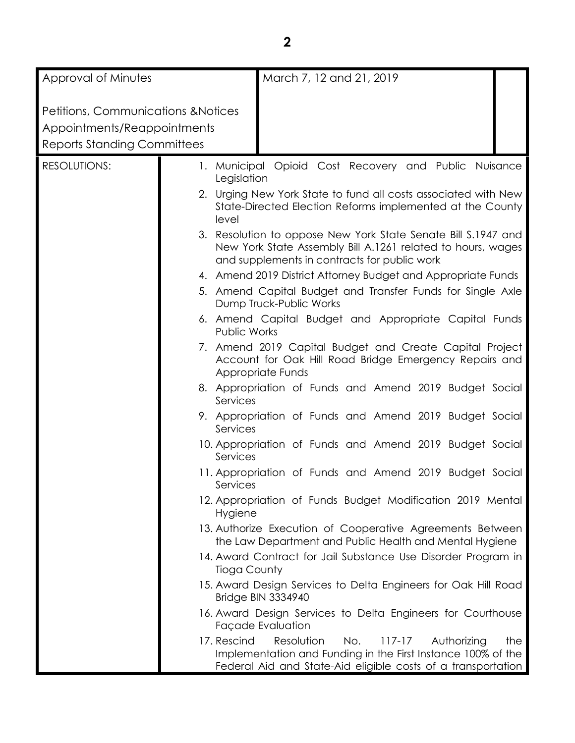| Approval of Minutes                                                                                                 | March 7, 12 and 21, 2019                                                                                                                                                                             |
|---------------------------------------------------------------------------------------------------------------------|------------------------------------------------------------------------------------------------------------------------------------------------------------------------------------------------------|
| <b>Petitions, Communications &amp; Notices</b><br>Appointments/Reappointments<br><b>Reports Standing Committees</b> |                                                                                                                                                                                                      |
| <b>RESOLUTIONS:</b>                                                                                                 | 1. Municipal Opioid Cost Recovery and Public Nuisance                                                                                                                                                |
|                                                                                                                     | Legislation                                                                                                                                                                                          |
|                                                                                                                     | 2. Urging New York State to fund all costs associated with New<br>State-Directed Election Reforms implemented at the County<br>level                                                                 |
|                                                                                                                     | 3. Resolution to oppose New York State Senate Bill S.1947 and<br>New York State Assembly Bill A.1261 related to hours, wages<br>and supplements in contracts for public work                         |
|                                                                                                                     | 4. Amend 2019 District Attorney Budget and Appropriate Funds                                                                                                                                         |
|                                                                                                                     | 5. Amend Capital Budget and Transfer Funds for Single Axle<br>Dump Truck-Public Works                                                                                                                |
|                                                                                                                     | 6. Amend Capital Budget and Appropriate Capital Funds<br><b>Public Works</b>                                                                                                                         |
|                                                                                                                     | 7. Amend 2019 Capital Budget and Create Capital Project<br>Account for Oak Hill Road Bridge Emergency Repairs and<br>Appropriate Funds                                                               |
|                                                                                                                     | 8. Appropriation of Funds and Amend 2019 Budget Social<br>Services                                                                                                                                   |
|                                                                                                                     | 9. Appropriation of Funds and Amend 2019 Budget Social<br>Services                                                                                                                                   |
|                                                                                                                     | 10. Appropriation of Funds and Amend 2019 Budget Social<br>Services                                                                                                                                  |
|                                                                                                                     | 11. Appropriation of Funds and Amend 2019 Budget Social<br>Services                                                                                                                                  |
|                                                                                                                     | 12. Appropriation of Funds Budget Modification 2019 Mental<br>Hygiene                                                                                                                                |
|                                                                                                                     | 13. Authorize Execution of Cooperative Agreements Between<br>the Law Department and Public Health and Mental Hygiene                                                                                 |
|                                                                                                                     | 14. Award Contract for Jail Substance Use Disorder Program in<br>Tioga County                                                                                                                        |
|                                                                                                                     | 15. Award Design Services to Delta Engineers for Oak Hill Road<br>Bridge BIN 3334940                                                                                                                 |
|                                                                                                                     | 16. Award Design Services to Delta Engineers for Courthouse<br>Façade Evaluation                                                                                                                     |
|                                                                                                                     | 17. Rescind<br>Resolution<br>No.<br>$117 - 17$<br>Authorizing<br>the<br>Implementation and Funding in the First Instance 100% of the<br>Federal Aid and State-Aid eligible costs of a transportation |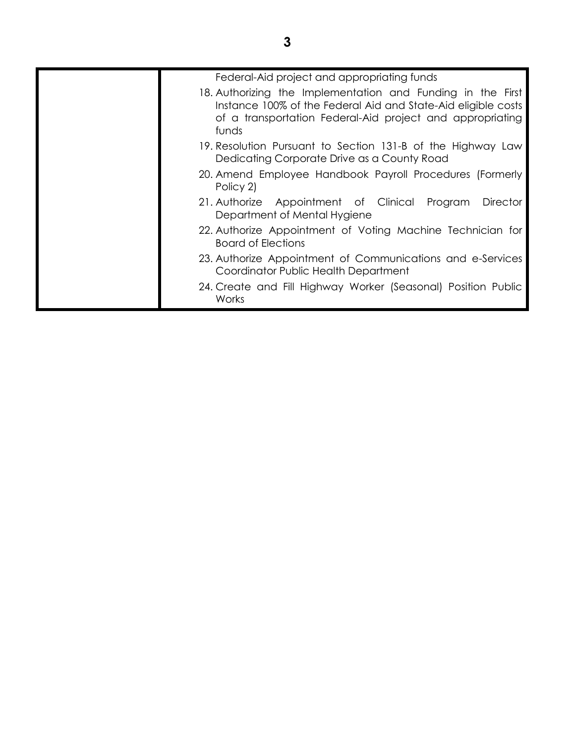| Federal-Aid project and appropriating funds                                                                                                                                                        |
|----------------------------------------------------------------------------------------------------------------------------------------------------------------------------------------------------|
| 18. Authorizing the Implementation and Funding in the First<br>Instance 100% of the Federal Aid and State-Aid eligible costs<br>of a transportation Federal-Aid project and appropriating<br>funds |
| 19. Resolution Pursuant to Section 131-B of the Highway Law<br>Dedicating Corporate Drive as a County Road                                                                                         |
| 20. Amend Employee Handbook Payroll Procedures (Formerly<br>Policy 2)                                                                                                                              |
| <b>Director</b><br>21. Authorize Appointment of Clinical Program<br>Department of Mental Hygiene                                                                                                   |
| 22. Authorize Appointment of Voting Machine Technician for<br><b>Board of Elections</b>                                                                                                            |
| 23. Authorize Appointment of Communications and e-Services<br>Coordinator Public Health Department                                                                                                 |
| 24. Create and Fill Highway Worker (Seasonal) Position Public<br>Works                                                                                                                             |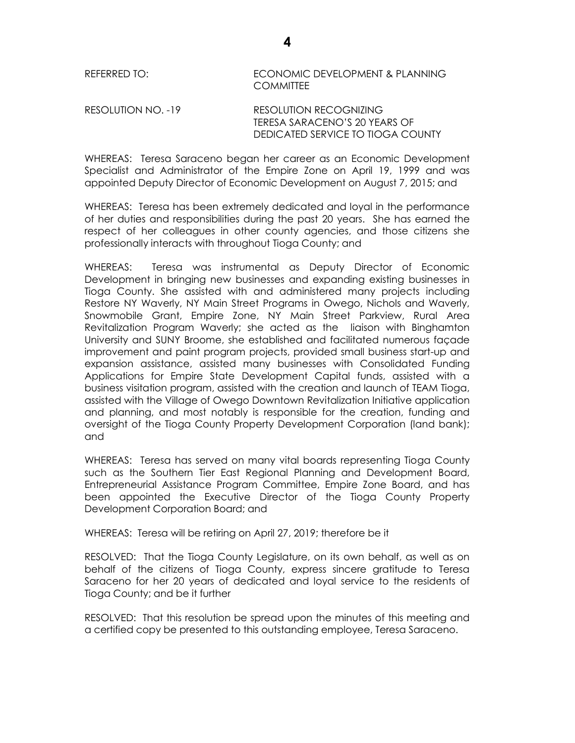| REFERRED TO: | ECONOMIC DEVELOPMENT & PLANNING |
|--------------|---------------------------------|
|              | COMMITTEE                       |

| RESOLUTION NO. -19 | RESOLUTION RECOGNIZING            |
|--------------------|-----------------------------------|
|                    | TERESA SARACENO'S 20 YEARS OF     |
|                    | DEDICATED SERVICE TO TIOGA COUNTY |

WHEREAS: Teresa Saraceno began her career as an Economic Development Specialist and Administrator of the Empire Zone on April 19, 1999 and was appointed Deputy Director of Economic Development on August 7, 2015; and

WHEREAS: Teresa has been extremely dedicated and loyal in the performance of her duties and responsibilities during the past 20 years. She has earned the respect of her colleagues in other county agencies, and those citizens she professionally interacts with throughout Tioga County; and

WHEREAS: Teresa was instrumental as Deputy Director of Economic Development in bringing new businesses and expanding existing businesses in Tioga County. She assisted with and administered many projects including Restore NY Waverly, NY Main Street Programs in Owego, Nichols and Waverly, Snowmobile Grant, Empire Zone, NY Main Street Parkview, Rural Area Revitalization Program Waverly; she acted as the liaison with Binghamton University and SUNY Broome, she established and facilitated numerous façade improvement and paint program projects, provided small business start-up and expansion assistance, assisted many businesses with Consolidated Funding Applications for Empire State Development Capital funds, assisted with a business visitation program, assisted with the creation and launch of TEAM Tioga, assisted with the Village of Owego Downtown Revitalization Initiative application and planning, and most notably is responsible for the creation, funding and oversight of the Tioga County Property Development Corporation (land bank); and

WHEREAS: Teresa has served on many vital boards representing Tioga County such as the Southern Tier East Regional Planning and Development Board, Entrepreneurial Assistance Program Committee, Empire Zone Board, and has been appointed the Executive Director of the Tioga County Property Development Corporation Board; and

WHEREAS: Teresa will be retiring on April 27, 2019; therefore be it

RESOLVED: That the Tioga County Legislature, on its own behalf, as well as on behalf of the citizens of Tioga County, express sincere gratitude to Teresa Saraceno for her 20 years of dedicated and loyal service to the residents of Tioga County; and be it further

RESOLVED: That this resolution be spread upon the minutes of this meeting and a certified copy be presented to this outstanding employee, Teresa Saraceno.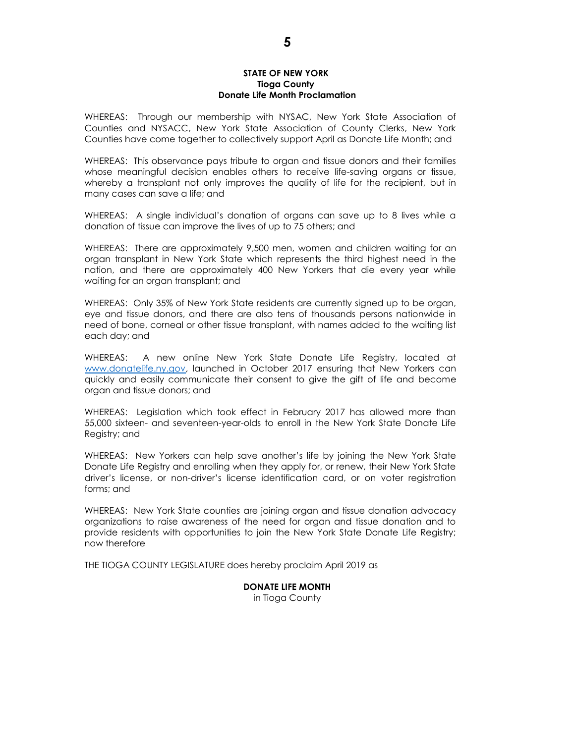#### **STATE OF NEW YORK Tioga County Donate Life Month Proclamation**

WHEREAS: Through our membership with NYSAC, New York State Association of Counties and NYSACC, New York State Association of County Clerks, New York Counties have come together to collectively support April as Donate Life Month; and

WHEREAS: This observance pays tribute to organ and tissue donors and their families whose meaningful decision enables others to receive life-saving organs or tissue, whereby a transplant not only improves the quality of life for the recipient, but in many cases can save a life; and

WHEREAS: A single individual's donation of organs can save up to 8 lives while a donation of tissue can improve the lives of up to 75 others; and

WHEREAS: There are approximately 9,500 men, women and children waiting for an organ transplant in New York State which represents the third highest need in the nation, and there are approximately 400 New Yorkers that die every year while waiting for an organ transplant; and

WHEREAS: Only 35% of New York State residents are currently signed up to be organ, eye and tissue donors, and there are also tens of thousands persons nationwide in need of bone, corneal or other tissue transplant, with names added to the waiting list each day; and

WHEREAS: A new online New York State Donate Life Registry, located at [www.donatelife.ny.gov,](http://www.donatelife.ny.gov/) launched in October 2017 ensuring that New Yorkers can quickly and easily communicate their consent to give the gift of life and become organ and tissue donors; and

WHEREAS: Legislation which took effect in February 2017 has allowed more than 55,000 sixteen- and seventeen-year-olds to enroll in the New York State Donate Life Registry; and

WHEREAS: New Yorkers can help save another's life by joining the New York State Donate Life Registry and enrolling when they apply for, or renew, their New York State driver's license, or non-driver's license identification card, or on voter registration forms; and

WHEREAS: New York State counties are joining organ and tissue donation advocacy organizations to raise awareness of the need for organ and tissue donation and to provide residents with opportunities to join the New York State Donate Life Registry; now therefore

THE TIOGA COUNTY LEGISLATURE does hereby proclaim April 2019 as

#### **DONATE LIFE MONTH** in Tioga County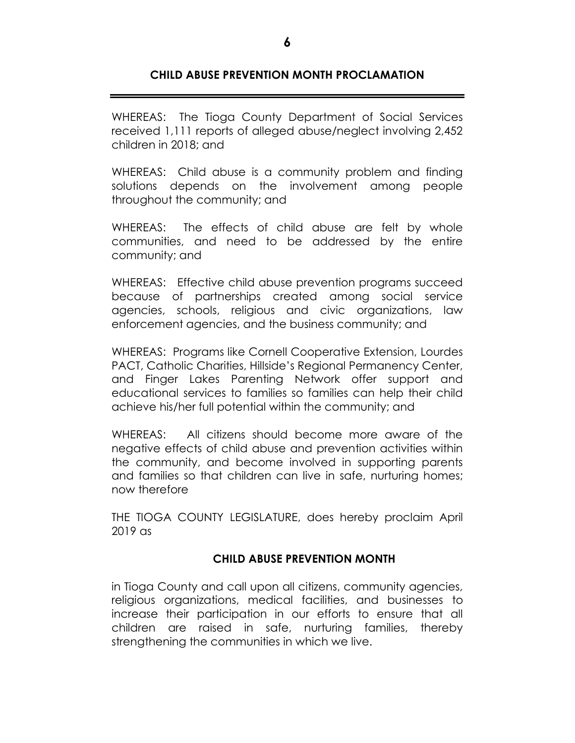# **CHILD ABUSE PREVENTION MONTH PROCLAMATION**

WHEREAS: The Tioga County Department of Social Services received 1,111 reports of alleged abuse/neglect involving 2,452 children in 2018; and

WHEREAS: Child abuse is a community problem and finding solutions depends on the involvement among people throughout the community; and

WHEREAS: The effects of child abuse are felt by whole communities, and need to be addressed by the entire community; and

WHEREAS: Effective child abuse prevention programs succeed because of partnerships created among social service agencies, schools, religious and civic organizations, law enforcement agencies, and the business community; and

WHEREAS: Programs like Cornell Cooperative Extension, Lourdes PACT, Catholic Charities, Hillside's Regional Permanency Center, and Finger Lakes Parenting Network offer support and educational services to families so families can help their child achieve his/her full potential within the community; and

WHEREAS: All citizens should become more aware of the negative effects of child abuse and prevention activities within the community, and become involved in supporting parents and families so that children can live in safe, nurturing homes; now therefore

THE TIOGA COUNTY LEGISLATURE, does hereby proclaim April 2019 as

## **CHILD ABUSE PREVENTION MONTH**

in Tioga County and call upon all citizens, community agencies, religious organizations, medical facilities, and businesses to increase their participation in our efforts to ensure that all children are raised in safe, nurturing families, thereby strengthening the communities in which we live.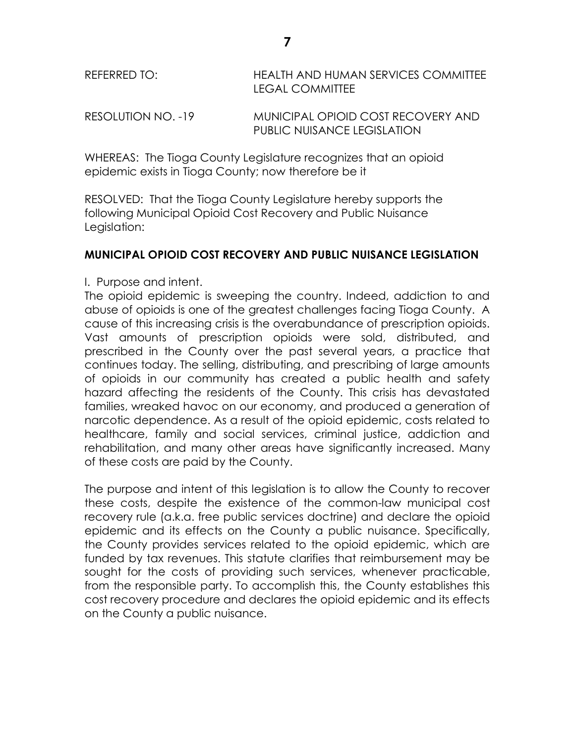| REFERRED TO:       | HEALTH AND HUMAN SERVICES COMMITTEE<br>LEGAL COMMITTEE |  |
|--------------------|--------------------------------------------------------|--|
| RESOLUTION NO. -19 | MUNICIPAL OPIOID COST RECOVERY AND                     |  |

PUBLIC NUISANCE LEGISLATION

WHEREAS: The Tioga County Legislature recognizes that an opioid epidemic exists in Tioga County; now therefore be it

RESOLVED: That the Tioga County Legislature hereby supports the following Municipal Opioid Cost Recovery and Public Nuisance Legislation:

#### **MUNICIPAL OPIOID COST RECOVERY AND PUBLIC NUISANCE LEGISLATION**

#### I. Purpose and intent.

The opioid epidemic is sweeping the country. Indeed, addiction to and abuse of opioids is one of the greatest challenges facing Tioga County. A cause of this increasing crisis is the overabundance of prescription opioids. Vast amounts of prescription opioids were sold, distributed, and prescribed in the County over the past several years, a practice that continues today. The selling, distributing, and prescribing of large amounts of opioids in our community has created a public health and safety hazard affecting the residents of the County. This crisis has devastated families, wreaked havoc on our economy, and produced a generation of narcotic dependence. As a result of the opioid epidemic, costs related to healthcare, family and social services, criminal justice, addiction and rehabilitation, and many other areas have significantly increased. Many of these costs are paid by the County.

The purpose and intent of this legislation is to allow the County to recover these costs, despite the existence of the common-law municipal cost recovery rule (a.k.a. free public services doctrine) and declare the opioid epidemic and its effects on the County a public nuisance. Specifically, the County provides services related to the opioid epidemic, which are funded by tax revenues. This statute clarifies that reimbursement may be sought for the costs of providing such services, whenever practicable, from the responsible party. To accomplish this, the County establishes this cost recovery procedure and declares the opioid epidemic and its effects on the County a public nuisance.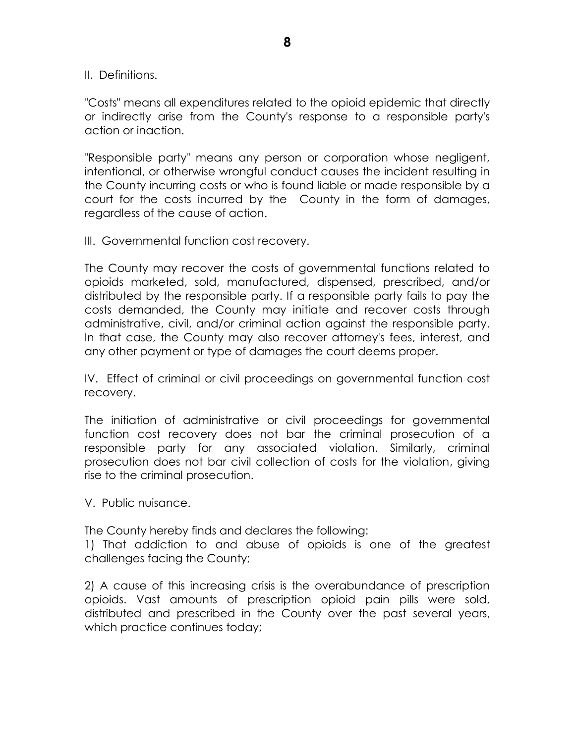II. Definitions.

"Costs" means all expenditures related to the opioid epidemic that directly or indirectly arise from the County's response to a responsible party's action or inaction.

"Responsible party" means any person or corporation whose negligent, intentional, or otherwise wrongful conduct causes the incident resulting in the County incurring costs or who is found liable or made responsible by a court for the costs incurred by the County in the form of damages, regardless of the cause of action.

III. Governmental function cost recovery.

The County may recover the costs of governmental functions related to opioids marketed, sold, manufactured, dispensed, prescribed, and/or distributed by the responsible party. If a responsible party fails to pay the costs demanded, the County may initiate and recover costs through administrative, civil, and/or criminal action against the responsible party. In that case, the County may also recover attorney's fees, interest, and any other payment or type of damages the court deems proper.

IV. Effect of criminal or civil proceedings on governmental function cost recovery.

The initiation of administrative or civil proceedings for governmental function cost recovery does not bar the criminal prosecution of a responsible party for any associated violation. Similarly, criminal prosecution does not bar civil collection of costs for the violation, giving rise to the criminal prosecution.

V. Public nuisance.

The County hereby finds and declares the following:

1) That addiction to and abuse of opioids is one of the greatest challenges facing the County;

2) A cause of this increasing crisis is the overabundance of prescription opioids. Vast amounts of prescription opioid pain pills were sold, distributed and prescribed in the County over the past several years, which practice continues today;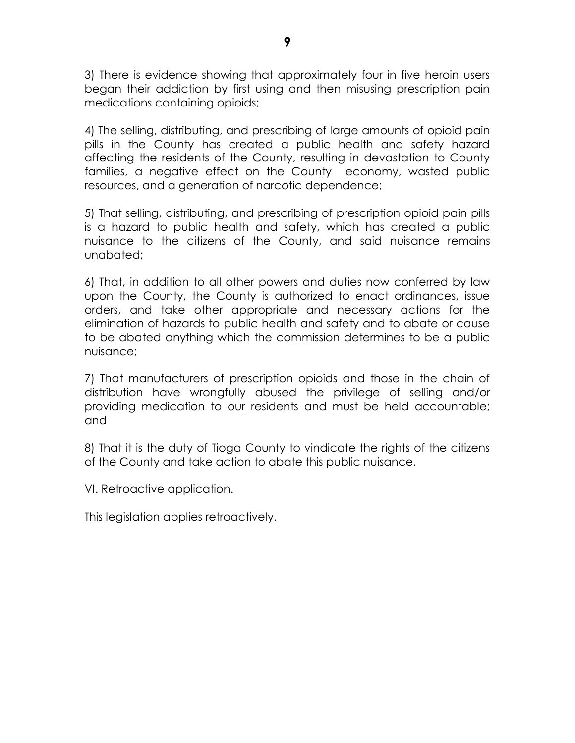3) There is evidence showing that approximately four in five heroin users began their addiction by first using and then misusing prescription pain medications containing opioids;

4) The selling, distributing, and prescribing of large amounts of opioid pain pills in the County has created a public health and safety hazard affecting the residents of the County, resulting in devastation to County families, a negative effect on the County economy, wasted public resources, and a generation of narcotic dependence;

5) That selling, distributing, and prescribing of prescription opioid pain pills is a hazard to public health and safety, which has created a public nuisance to the citizens of the County, and said nuisance remains unabated;

6) That, in addition to all other powers and duties now conferred by law upon the County, the County is authorized to enact ordinances, issue orders, and take other appropriate and necessary actions for the elimination of hazards to public health and safety and to abate or cause to be abated anything which the commission determines to be a public nuisance;

7) That manufacturers of prescription opioids and those in the chain of distribution have wrongfully abused the privilege of selling and/or providing medication to our residents and must be held accountable; and

8) That it is the duty of Tioga County to vindicate the rights of the citizens of the County and take action to abate this public nuisance.

VI. Retroactive application.

This legislation applies retroactively.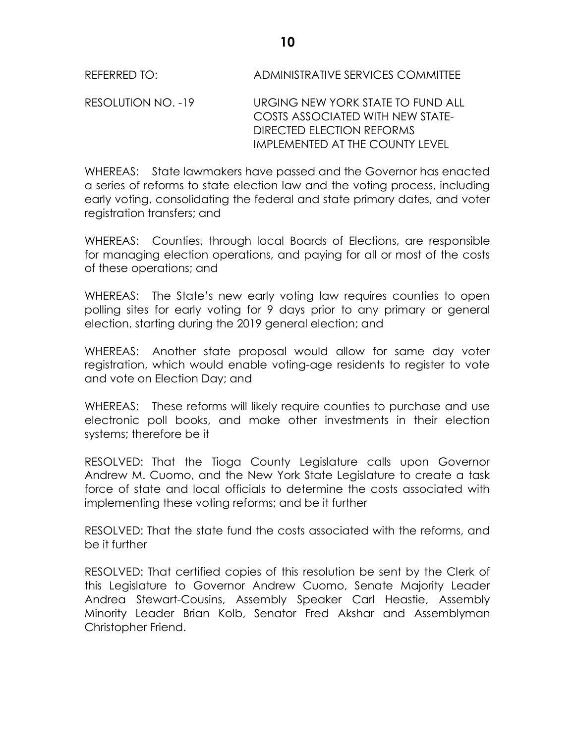REFERRED TO: ADMINISTRATIVE SERVICES COMMITTEE

RESOLUTION NO. -19 URGING NEW YORK STATE TO FUND ALL COSTS ASSOCIATED WITH NEW STATE-DIRECTED ELECTION REFORMS IMPLEMENTED AT THE COUNTY LEVEL

WHEREAS: State lawmakers have passed and the Governor has enacted a series of reforms to state election law and the voting process, including early voting, consolidating the federal and state primary dates, and voter registration transfers; and

WHEREAS: Counties, through local Boards of Elections, are responsible for managing election operations, and paying for all or most of the costs of these operations; and

WHEREAS: The State's new early voting law requires counties to open polling sites for early voting for 9 days prior to any primary or general election, starting during the 2019 general election; and

WHEREAS: Another state proposal would allow for same day voter registration, which would enable voting-age residents to register to vote and vote on Election Day; and

WHEREAS: These reforms will likely require counties to purchase and use electronic poll books, and make other investments in their election systems; therefore be it

RESOLVED: That the Tioga County Legislature calls upon Governor Andrew M. Cuomo, and the New York State Legislature to create a task force of state and local officials to determine the costs associated with implementing these voting reforms; and be it further

RESOLVED: That the state fund the costs associated with the reforms, and be it further

RESOLVED: That certified copies of this resolution be sent by the Clerk of this Legislature to Governor Andrew Cuomo, Senate Majority Leader Andrea Stewart-Cousins, Assembly Speaker Carl Heastie, Assembly Minority Leader Brian Kolb, Senator Fred Akshar and Assemblyman Christopher Friend.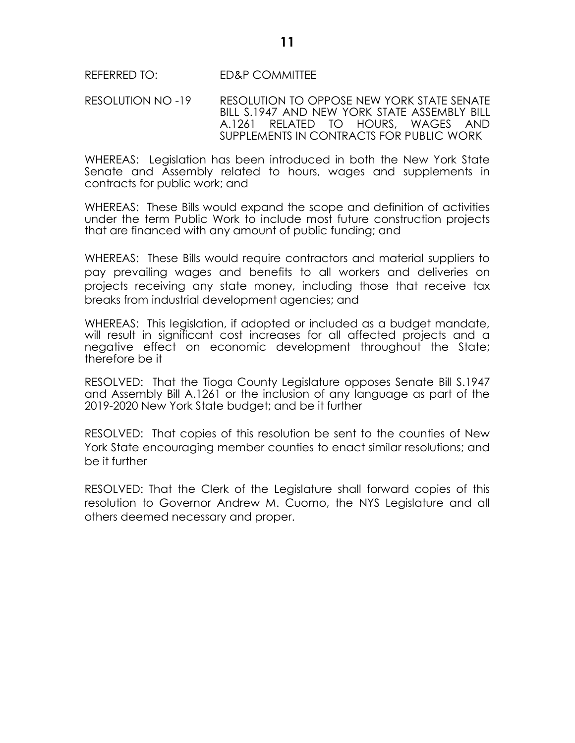#### REFERRED TO: ED&P COMMITTEE

RESOLUTION NO -19 RESOLUTION TO OPPOSE NEW YORK STATE SENATE BILL S.1947 AND NEW YORK STATE ASSEMBLY BILL A.1261 RELATED TO HOURS, WAGES AND SUPPLEMENTS IN CONTRACTS FOR PUBLIC WORK

WHEREAS: Legislation has been introduced in both the New York State Senate and Assembly related to hours, wages and supplements in contracts for public work; and

WHEREAS: These Bills would expand the scope and definition of activities under the term Public Work to include most future construction projects that are financed with any amount of public funding; and

WHEREAS: These Bills would require contractors and material suppliers to pay prevailing wages and benefits to all workers and deliveries on projects receiving any state money, including those that receive tax breaks from industrial development agencies; and

WHEREAS: This legislation, if adopted or included as a budget mandate, will result in significant cost increases for all affected projects and a negative effect on economic development throughout the State; therefore be it

RESOLVED: That the Tioga County Legislature opposes Senate Bill S.1947 and Assembly Bill A.1261 or the inclusion of any language as part of the 2019-2020 New York State budget; and be it further

RESOLVED: That copies of this resolution be sent to the counties of New York State encouraging member counties to enact similar resolutions; and be it further

RESOLVED: That the Clerk of the Legislature shall forward copies of this resolution to Governor Andrew M. Cuomo, the NYS Legislature and all others deemed necessary and proper.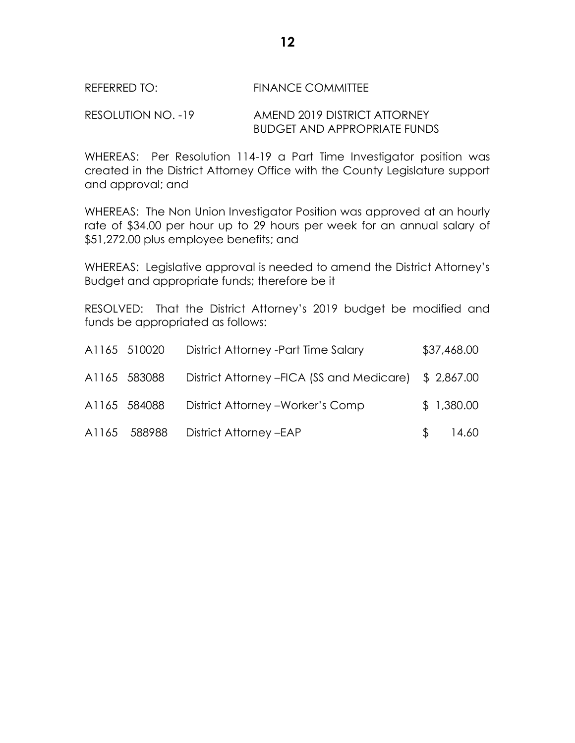#### REFERRED TO: FINANCE COMMITTEE

### RESOLUTION NO. -19 AMEND 2019 DISTRICT ATTORNEY BUDGET AND APPROPRIATE FUNDS

WHEREAS: Per Resolution 114-19 a Part Time Investigator position was created in the District Attorney Office with the County Legislature support and approval; and

WHEREAS: The Non Union Investigator Position was approved at an hourly rate of \$34.00 per hour up to 29 hours per week for an annual salary of \$51,272.00 plus employee benefits; and

WHEREAS: Legislative approval is needed to amend the District Attorney's Budget and appropriate funds; therefore be it

RESOLVED: That the District Attorney's 2019 budget be modified and funds be appropriated as follows:

| A1165 510020 | District Attorney - Part Time Salary                  |              | \$37,468.00 |
|--------------|-------------------------------------------------------|--------------|-------------|
| A1165 583088 | District Attorney – FICA (SS and Medicare) \$2,867.00 |              |             |
| A1165 584088 | District Attorney - Worker's Comp                     |              | \$1,380.00  |
|              | A1165 588988 District Attorney - EAP                  | <sup>S</sup> | 14.60       |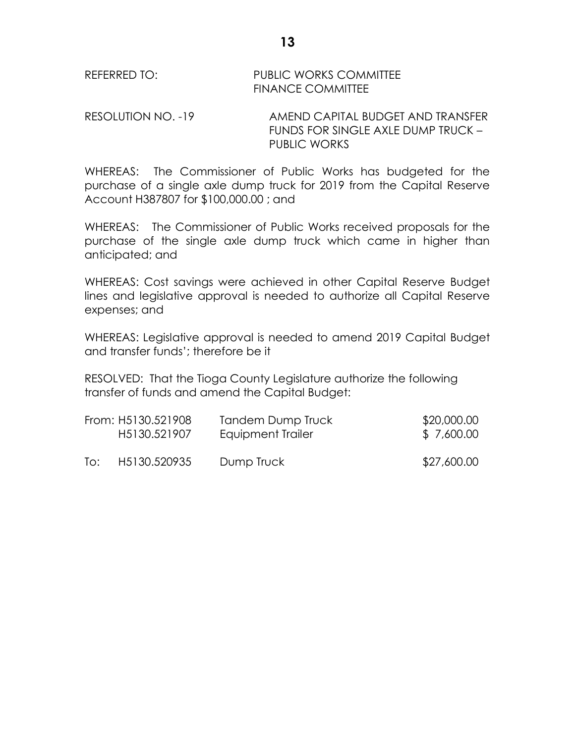REFERRED TO: PUBLIC WORKS COMMITTEE FINANCE COMMITTEE

RESOLUTION NO. -19 AMEND CAPITAL BUDGET AND TRANSFER FUNDS FOR SINGLE AXLE DUMP TRUCK – PUBLIC WORKS

WHEREAS: The Commissioner of Public Works has budgeted for the purchase of a single axle dump truck for 2019 from the Capital Reserve Account H387807 for \$100,000.00 ; and

WHEREAS: The Commissioner of Public Works received proposals for the purchase of the single axle dump truck which came in higher than anticipated; and

WHEREAS: Cost savings were achieved in other Capital Reserve Budget lines and legislative approval is needed to authorize all Capital Reserve expenses; and

WHEREAS: Legislative approval is needed to amend 2019 Capital Budget and transfer funds'; therefore be it

RESOLVED: That the Tioga County Legislature authorize the following transfer of funds and amend the Capital Budget:

|     | From: H5130.521908 | Tandem Dump Truck | \$20,000.00 |
|-----|--------------------|-------------------|-------------|
|     | H5130.521907       | Equipment Trailer | \$7,600.00  |
| To: | H5130.520935       | Dump Truck        | \$27,600.00 |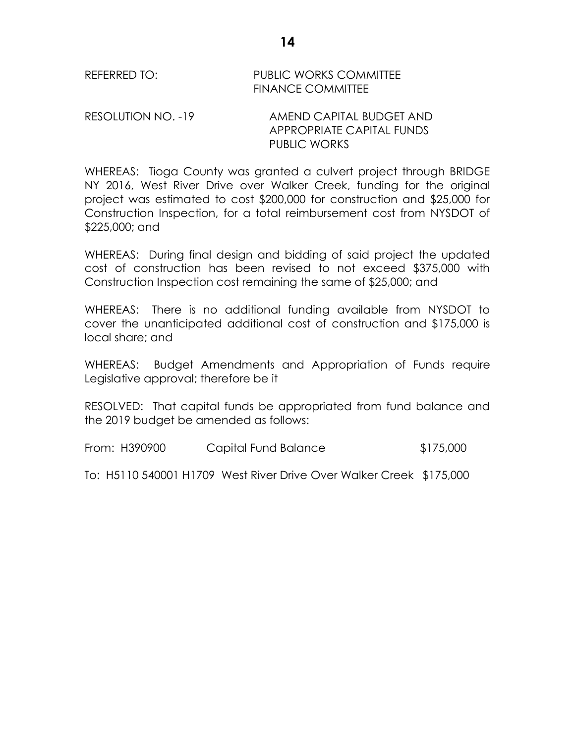| REFERRED TO: | <b>PUBLIC WORKS COMMITTEE</b> |
|--------------|-------------------------------|
|              | <b>FINANCE COMMITTEE</b>      |

RESOLUTION NO. -19 AMEND CAPITAL BUDGET AND APPROPRIATE CAPITAL FUNDS PUBLIC WORKS

WHEREAS: Tioga County was granted a culvert project through BRIDGE NY 2016, West River Drive over Walker Creek, funding for the original project was estimated to cost \$200,000 for construction and \$25,000 for Construction Inspection, for a total reimbursement cost from NYSDOT of \$225,000; and

WHEREAS: During final design and bidding of said project the updated cost of construction has been revised to not exceed \$375,000 with Construction Inspection cost remaining the same of \$25,000; and

WHEREAS: There is no additional funding available from NYSDOT to cover the unanticipated additional cost of construction and \$175,000 is local share; and

WHEREAS: Budget Amendments and Appropriation of Funds require Legislative approval; therefore be it

RESOLVED: That capital funds be appropriated from fund balance and the 2019 budget be amended as follows:

From: H390900 Capital Fund Balance \$175,000

To: H5110 540001 H1709 West River Drive Over Walker Creek \$175,000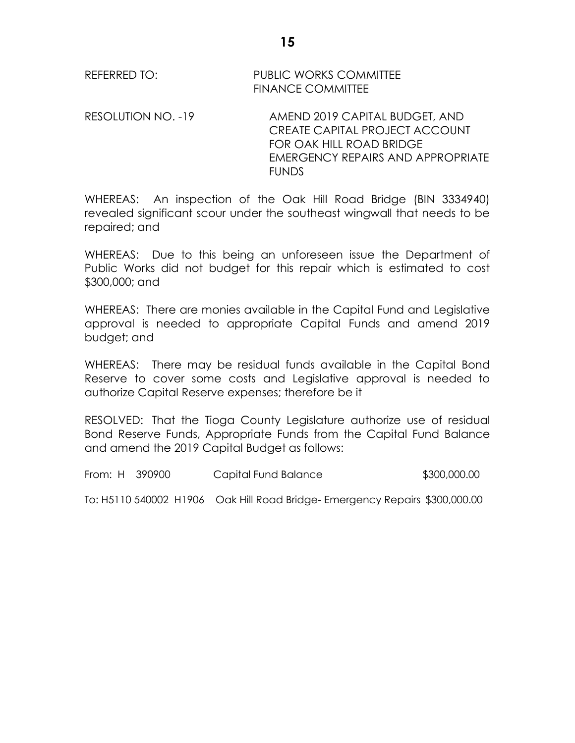REFERRED TO: PUBLIC WORKS COMMITTEE FINANCE COMMITTEE

RESOLUTION NO. -19 AMEND 2019 CAPITAL BUDGET, AND CREATE CAPITAL PROJECT ACCOUNT FOR OAK HILL ROAD BRIDGE EMERGENCY REPAIRS AND APPROPRIATE FUNDS

WHEREAS: An inspection of the Oak Hill Road Bridge (BIN 3334940) revealed significant scour under the southeast wingwall that needs to be repaired; and

WHEREAS: Due to this being an unforeseen issue the Department of Public Works did not budget for this repair which is estimated to cost \$300,000; and

WHEREAS: There are monies available in the Capital Fund and Legislative approval is needed to appropriate Capital Funds and amend 2019 budget; and

WHEREAS: There may be residual funds available in the Capital Bond Reserve to cover some costs and Legislative approval is needed to authorize Capital Reserve expenses; therefore be it

RESOLVED: That the Tioga County Legislature authorize use of residual Bond Reserve Funds, Appropriate Funds from the Capital Fund Balance and amend the 2019 Capital Budget as follows:

From: H 390900 Capital Fund Balance \$300,000.00 To: H5110 540002 H1906 Oak Hill Road Bridge- Emergency Repairs \$300,000.00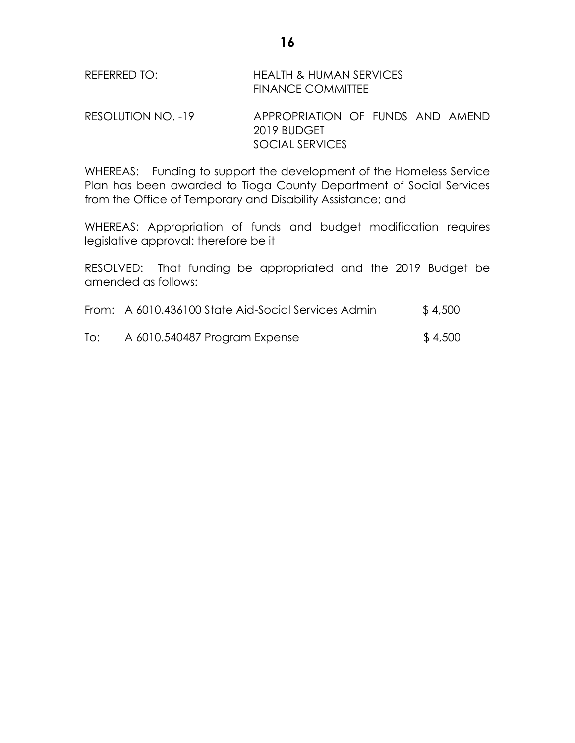| REFERRED TO:       | HEALTH & HUMAN SERVICES<br><b>FINANCE COMMITTEE</b> |  |
|--------------------|-----------------------------------------------------|--|
| RESOLUTION NO. -19 | APPROPRIATION OF FUNDS AND AMEND<br>2019 BUDGET     |  |

WHEREAS: Funding to support the development of the Homeless Service Plan has been awarded to Tioga County Department of Social Services from the Office of Temporary and Disability Assistance; and

SOCIAL SERVICES

WHEREAS: Appropriation of funds and budget modification requires legislative approval: therefore be it

RESOLVED: That funding be appropriated and the 2019 Budget be amended as follows:

|  | From: A 6010.436100 State Aid-Social Services Admin | \$4,500 |
|--|-----------------------------------------------------|---------|
|--|-----------------------------------------------------|---------|

To: A 6010.540487 Program Expense \$ 4,500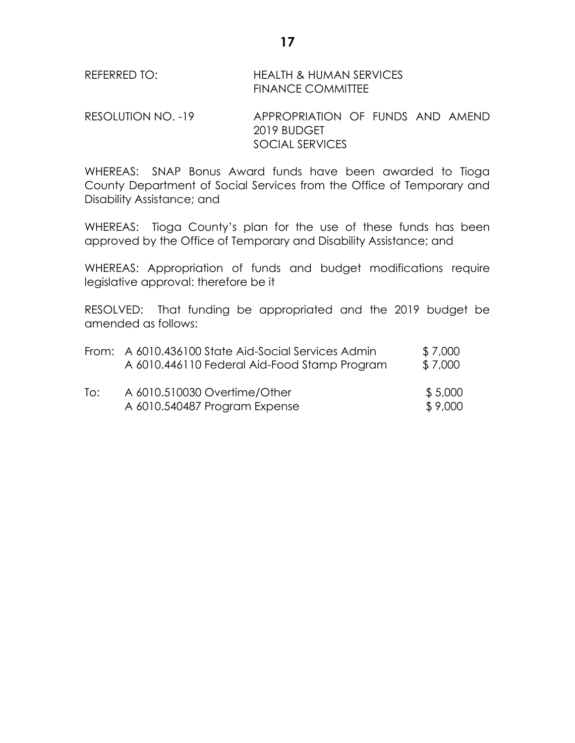| REFERRED TO: | <b>HEALTH &amp; HUMAN SERVICES</b> |
|--------------|------------------------------------|
|              | <b>FINANCE COMMITTEE</b>           |

RESOLUTION NO. -19 APPROPRIATION OF FUNDS AND AMEND 2019 BUDGET SOCIAL SERVICES

WHEREAS: SNAP Bonus Award funds have been awarded to Tioga County Department of Social Services from the Office of Temporary and Disability Assistance; and

WHEREAS: Tioga County's plan for the use of these funds has been approved by the Office of Temporary and Disability Assistance; and

WHEREAS: Appropriation of funds and budget modifications require legislative approval: therefore be it

RESOLVED: That funding be appropriated and the 2019 budget be amended as follows:

|     | From: A 6010.436100 State Aid-Social Services Admin<br>A 6010.446110 Federal Aid-Food Stamp Program | \$7,000<br>\$7,000 |
|-----|-----------------------------------------------------------------------------------------------------|--------------------|
| To: | A 6010.510030 Overtime/Other<br>A 6010.540487 Program Expense                                       | \$5,000<br>\$9,000 |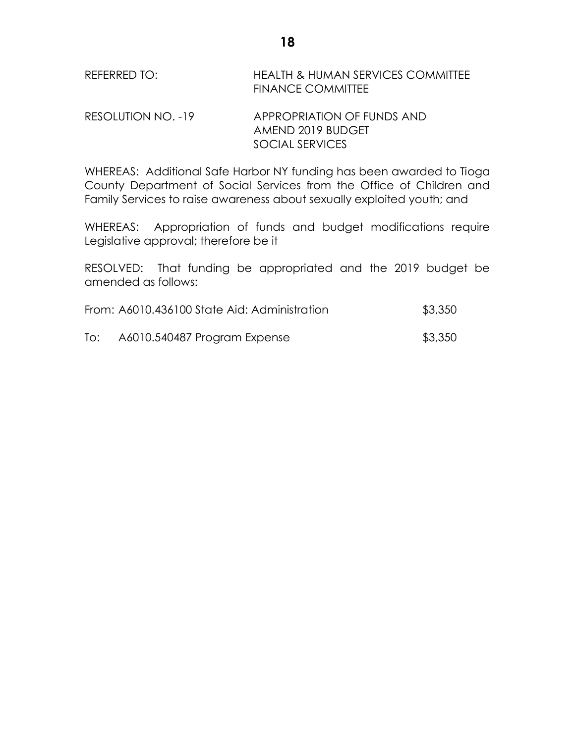| REFERRED TO: | HEALTH & HUMAN SERVICES COMMITTEE |
|--------------|-----------------------------------|
|              | <b>FINANCE COMMITTEE</b>          |

# RESOLUTION NO. -19 APPROPRIATION OF FUNDS AND AMEND 2019 BUDGET SOCIAL SERVICES

WHEREAS: Additional Safe Harbor NY funding has been awarded to Tioga County Department of Social Services from the Office of Children and Family Services to raise awareness about sexually exploited youth; and

WHEREAS: Appropriation of funds and budget modifications require Legislative approval; therefore be it

RESOLVED: That funding be appropriated and the 2019 budget be amended as follows:

| From: A6010.436100 State Aid: Administration | \$3,350 |
|----------------------------------------------|---------|
|                                              |         |

To: A6010.540487 Program Expense **\$3,350**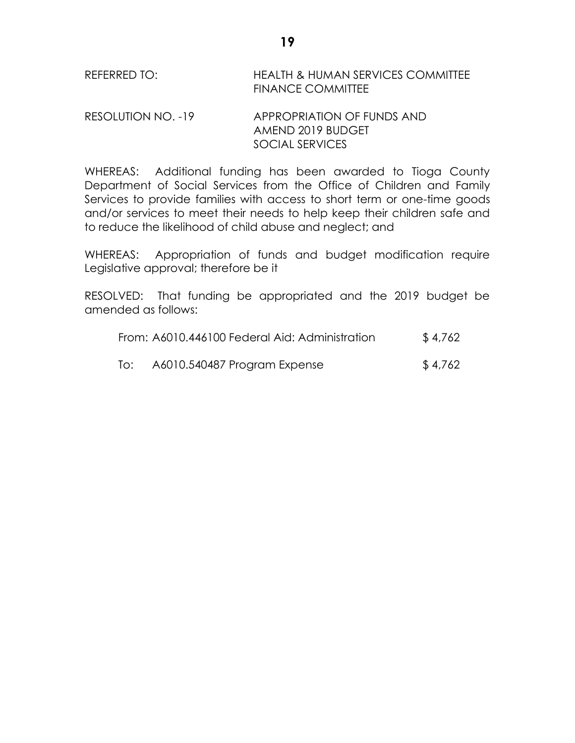| REFERRED TO: | <b>HEALTH &amp; HUMAN SERVICES COMMITTEE</b> |
|--------------|----------------------------------------------|
|              | <b>FINANCE COMMITTEE</b>                     |

# RESOLUTION NO. -19 APPROPRIATION OF FUNDS AND AMEND 2019 BUDGET SOCIAL SERVICES

WHEREAS: Additional funding has been awarded to Tioga County Department of Social Services from the Office of Children and Family Services to provide families with access to short term or one-time goods and/or services to meet their needs to help keep their children safe and to reduce the likelihood of child abuse and neglect; and

WHEREAS: Appropriation of funds and budget modification require Legislative approval; therefore be it

RESOLVED: That funding be appropriated and the 2019 budget be amended as follows:

| From: A6010.446100 Federal Aid: Administration | \$4,762                      |         |
|------------------------------------------------|------------------------------|---------|
| To:                                            | A6010.540487 Program Expense | \$4,762 |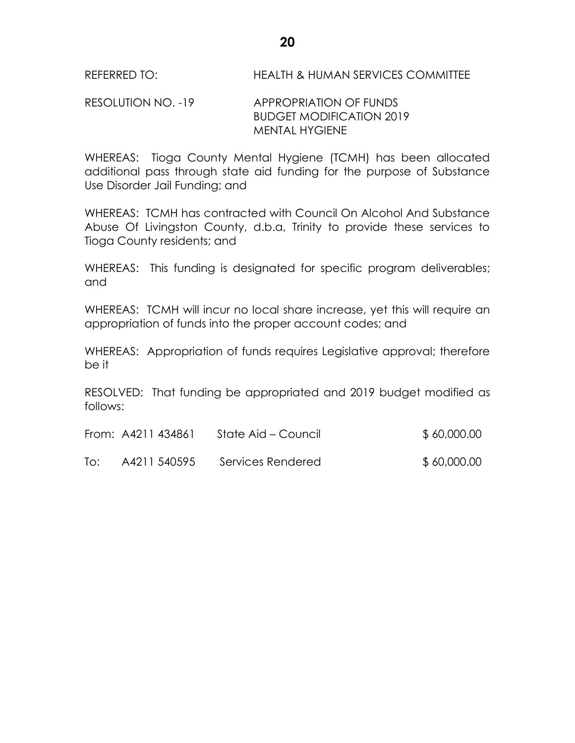### RESOLUTION NO. -19 APPROPRIATION OF FUNDS BUDGET MODIFICATION 2019 MENTAL HYGIENE

WHEREAS: Tioga County Mental Hygiene (TCMH) has been allocated additional pass through state aid funding for the purpose of Substance Use Disorder Jail Funding; and

WHEREAS: TCMH has contracted with Council On Alcohol And Substance Abuse Of Livingston County, d.b.a, Trinity to provide these services to Tioga County residents; and

WHEREAS: This funding is designated for specific program deliverables; and

WHEREAS: TCMH will incur no local share increase, yet this will require an appropriation of funds into the proper account codes; and

WHEREAS: Appropriation of funds requires Legislative approval; therefore be it

RESOLVED: That funding be appropriated and 2019 budget modified as follows:

|     | From: A4211 434861 | State Aid – Council | \$60,000.00 |
|-----|--------------------|---------------------|-------------|
| To: | A4211 540595       | Services Rendered   | \$60,000.00 |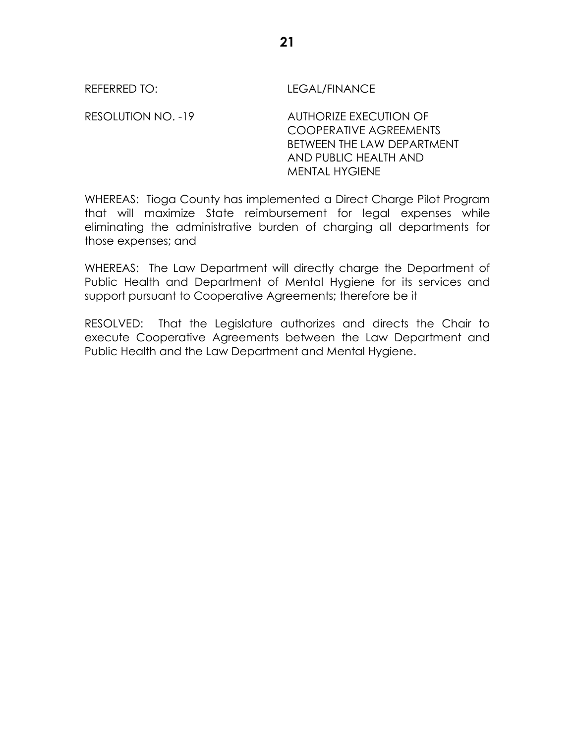REFERRED TO: LEGAL/FINANCE

RESOLUTION NO. -19 AUTHORIZE EXECUTION OF COOPERATIVE AGREEMENTS BETWEEN THE LAW DEPARTMENT AND PUBLIC HEALTH AND MENTAL HYGIENE

WHEREAS: Tioga County has implemented a Direct Charge Pilot Program that will maximize State reimbursement for legal expenses while eliminating the administrative burden of charging all departments for those expenses; and

WHEREAS: The Law Department will directly charge the Department of Public Health and Department of Mental Hygiene for its services and support pursuant to Cooperative Agreements; therefore be it

RESOLVED: That the Legislature authorizes and directs the Chair to execute Cooperative Agreements between the Law Department and Public Health and the Law Department and Mental Hygiene.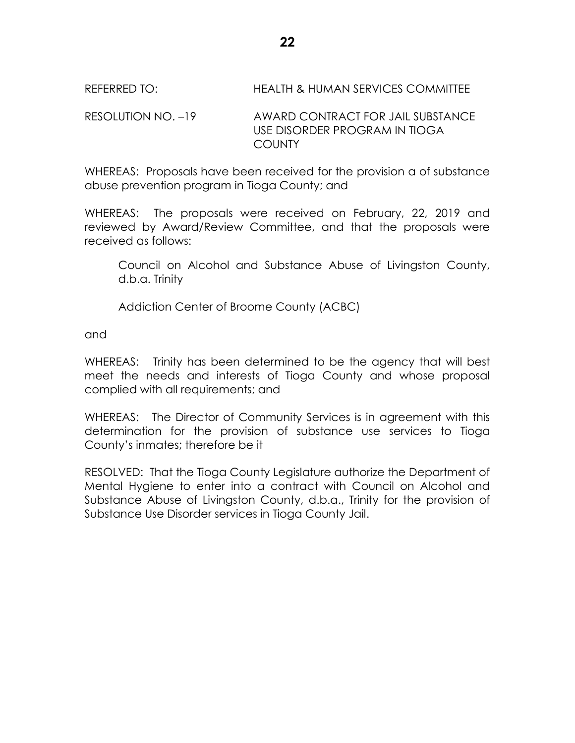# RESOLUTION NO. –19 AWARD CONTRACT FOR JAIL SUBSTANCE USE DISORDER PROGRAM IN TIOGA **COUNTY**

WHEREAS: Proposals have been received for the provision a of substance abuse prevention program in Tioga County; and

WHEREAS: The proposals were received on February, 22, 2019 and reviewed by Award/Review Committee, and that the proposals were received as follows:

Council on Alcohol and Substance Abuse of Livingston County, d.b.a. Trinity

Addiction Center of Broome County (ACBC)

and

WHEREAS: Trinity has been determined to be the agency that will best meet the needs and interests of Tioga County and whose proposal complied with all requirements; and

WHEREAS: The Director of Community Services is in agreement with this determination for the provision of substance use services to Tioga County's inmates; therefore be it

RESOLVED: That the Tioga County Legislature authorize the Department of Mental Hygiene to enter into a contract with Council on Alcohol and Substance Abuse of Livingston County, d.b.a., Trinity for the provision of Substance Use Disorder services in Tioga County Jail.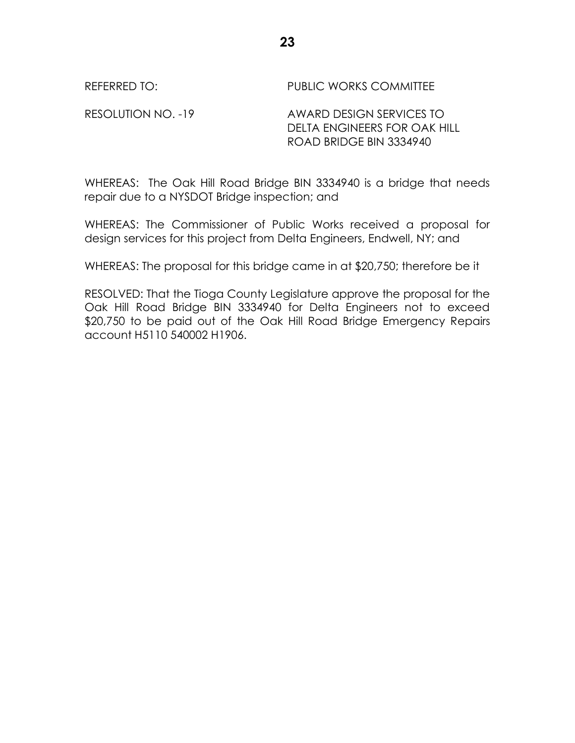REFERRED TO: The PUBLIC WORKS COMMITTEE

RESOLUTION NO. -19 AWARD DESIGN SERVICES TO DELTA ENGINEERS FOR OAK HILL ROAD BRIDGE BIN 3334940

WHEREAS: The Oak Hill Road Bridge BIN 3334940 is a bridge that needs repair due to a NYSDOT Bridge inspection; and

WHEREAS: The Commissioner of Public Works received a proposal for design services for this project from Delta Engineers, Endwell, NY; and

WHEREAS: The proposal for this bridge came in at \$20,750; therefore be it

RESOLVED: That the Tioga County Legislature approve the proposal for the Oak Hill Road Bridge BIN 3334940 for Delta Engineers not to exceed \$20,750 to be paid out of the Oak Hill Road Bridge Emergency Repairs account H5110 540002 H1906.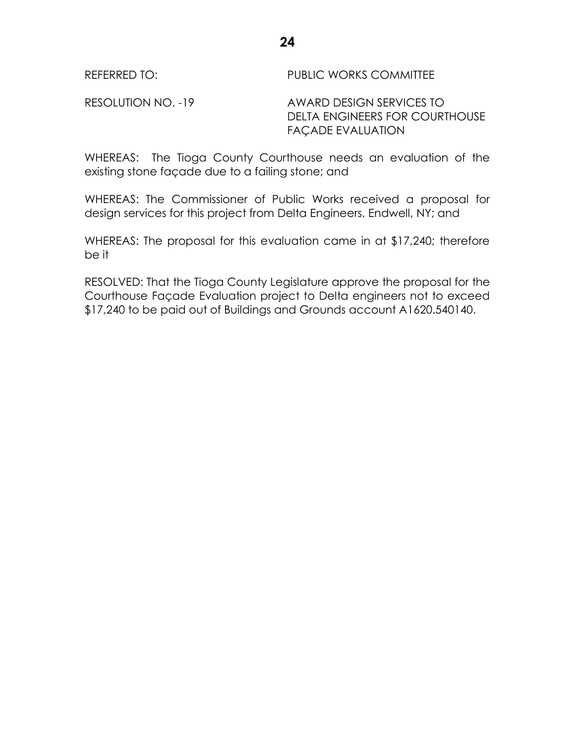REFERRED TO: THE PUBLIC WORKS COMMITTEE

RESOLUTION NO. -19 AWARD DESIGN SERVICES TO DELTA ENGINEERS FOR COURTHOUSE FAÇADE EVALUATION

WHEREAS: The Tioga County Courthouse needs an evaluation of the existing stone façade due to a failing stone; and

WHEREAS: The Commissioner of Public Works received a proposal for design services for this project from Delta Engineers, Endwell, NY; and

WHEREAS: The proposal for this evaluation came in at \$17,240; therefore be it

RESOLVED: That the Tioga County Legislature approve the proposal for the Courthouse Façade Evaluation project to Delta engineers not to exceed \$17,240 to be paid out of Buildings and Grounds account A1620.540140.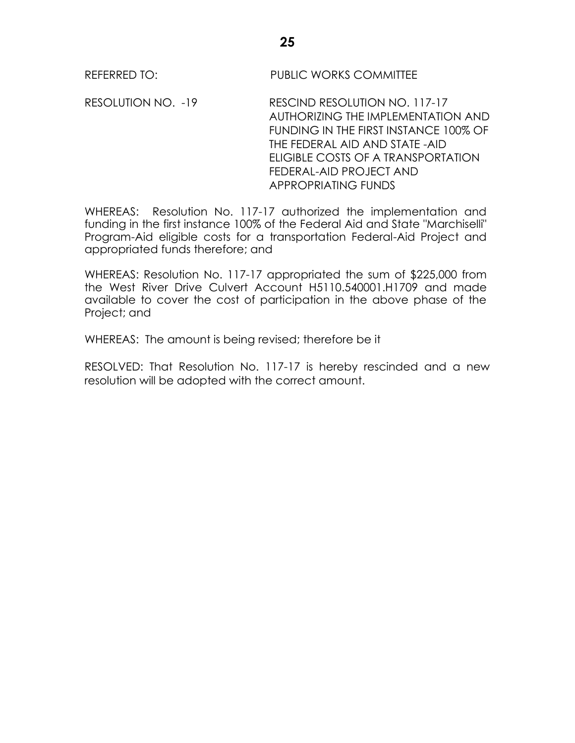REFERRED TO: PUBLIC WORKS COMMITTEE

RESOLUTION NO. -19 RESCIND RESOLUTION NO. 117-17 AUTHORIZING THE IMPLEMENTATION AND FUNDING IN THE FIRST INSTANCE 100% OF THE FEDERAL AID AND STATE -AID ELIGIBLE COSTS OF A TRANSPORTATION FEDERAL-AID PROJECT AND APPROPRIATING FUNDS

WHEREAS: Resolution No. 117-17 authorized the implementation and funding in the first instance 100% of the Federal Aid and State "Marchiselli" Program-Aid eligible costs for a transportation Federal-Aid Project and appropriated funds therefore; and

WHEREAS: Resolution No. 117-17 appropriated the sum of \$225,000 from the West River Drive Culvert Account H5110.540001.H1709 and made available to cover the cost of participation in the above phase of the Project; and

WHEREAS: The amount is being revised; therefore be it

RESOLVED: That Resolution No. 117-17 is hereby rescinded and a new resolution will be adopted with the correct amount.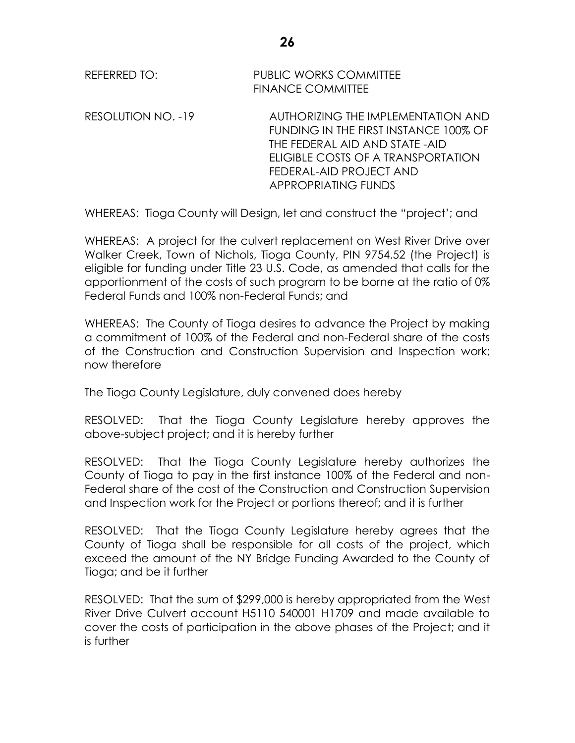RESOLUTION NO. -19 AUTHORIZING THE IMPLEMENTATION AND FUNDING IN THE FIRST INSTANCE 100% OF THE FEDERAL AID AND STATE -AID ELIGIBLE COSTS OF A TRANSPORTATION FEDERAL-AID PROJECT AND APPROPRIATING FUNDS

WHEREAS: Tioga County will Design, let and construct the "project'; and

WHEREAS: A project for the culvert replacement on West River Drive over Walker Creek, Town of Nichols, Tioga County, PIN 9754.52 (the Project) is eligible for funding under Title 23 U.S. Code, as amended that calls for the apportionment of the costs of such program to be borne at the ratio of 0% Federal Funds and 100% non-Federal Funds; and

WHEREAS: The County of Tioga desires to advance the Project by making a commitment of 100% of the Federal and non-Federal share of the costs of the Construction and Construction Supervision and Inspection work; now therefore

The Tioga County Legislature, duly convened does hereby

RESOLVED: That the Tioga County Legislature hereby approves the above-subject project; and it is hereby further

RESOLVED: That the Tioga County Legislature hereby authorizes the County of Tioga to pay in the first instance 100% of the Federal and non-Federal share of the cost of the Construction and Construction Supervision and Inspection work for the Project or portions thereof; and it is further

RESOLVED: That the Tioga County Legislature hereby agrees that the County of Tioga shall be responsible for all costs of the project, which exceed the amount of the NY Bridge Funding Awarded to the County of Tioga; and be it further

RESOLVED: That the sum of \$299,000 is hereby appropriated from the West River Drive Culvert account H5110 540001 H1709 and made available to cover the costs of participation in the above phases of the Project; and it is further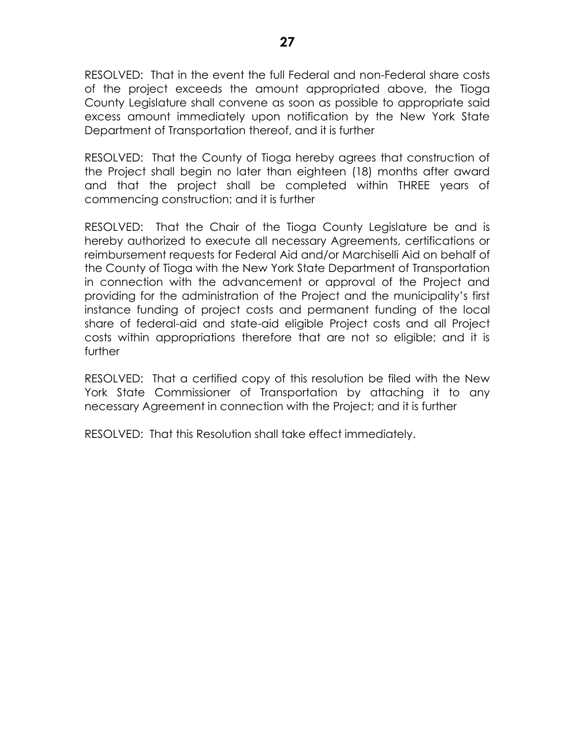RESOLVED: That in the event the full Federal and non-Federal share costs of the project exceeds the amount appropriated above, the Tioga County Legislature shall convene as soon as possible to appropriate said excess amount immediately upon notification by the New York State Department of Transportation thereof, and it is further

RESOLVED: That the County of Tioga hereby agrees that construction of the Project shall begin no later than eighteen (18) months after award and that the project shall be completed within THREE years of commencing construction; and it is further

RESOLVED: That the Chair of the Tioga County Legislature be and is hereby authorized to execute all necessary Agreements, certifications or reimbursement requests for Federal Aid and/or Marchiselli Aid on behalf of the County of Tioga with the New York State Department of Transportation in connection with the advancement or approval of the Project and providing for the administration of the Project and the municipality's first instance funding of project costs and permanent funding of the local share of federal-aid and state-aid eligible Project costs and all Project costs within appropriations therefore that are not so eligible; and it is further

RESOLVED: That a certified copy of this resolution be filed with the New York State Commissioner of Transportation by attaching it to any necessary Agreement in connection with the Project; and it is further

RESOLVED: That this Resolution shall take effect immediately.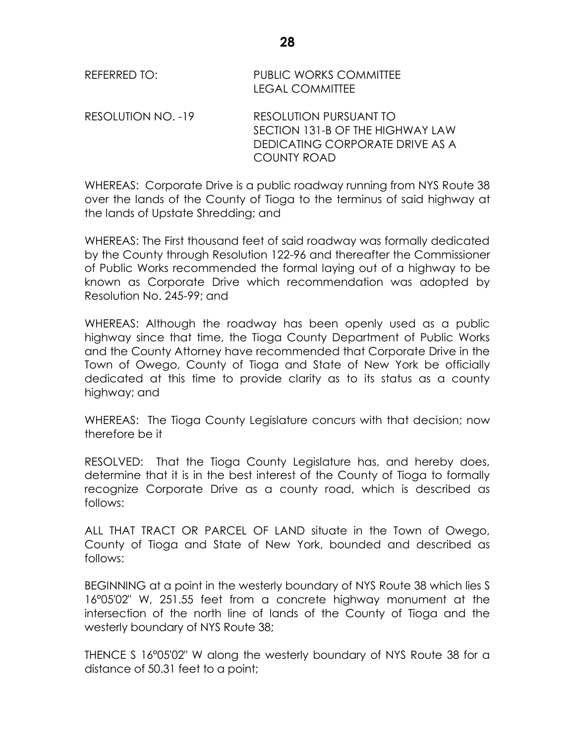| REFERRED TO:       | <b>PUBLIC WORKS COMMITTEE</b><br><b>LEGAL COMMITTEE</b>                                                             |
|--------------------|---------------------------------------------------------------------------------------------------------------------|
| RESOLUTION NO. -19 | RESOLUTION PURSUANT TO<br>SECTION 131-B OF THE HIGHWAY LAW<br>DEDICATING CORPORATE DRIVE AS A<br><b>COUNTY ROAD</b> |

WHEREAS: Corporate Drive is a public roadway running from NYS Route 38 over the lands of the County of Tioga to the terminus of said highway at the lands of Upstate Shredding; and

WHEREAS: The First thousand feet of said roadway was formally dedicated by the County through Resolution 122-96 and thereafter the Commissioner of Public Works recommended the formal laying out of a highway to be known as Corporate Drive which recommendation was adopted by Resolution No. 245-99; and

WHEREAS: Although the roadway has been openly used as a public highway since that time, the Tioga County Department of Public Works and the County Attorney have recommended that Corporate Drive in the Town of Owego, County of Tioga and State of New York be officially dedicated at this time to provide clarity as to its status as a county highway; and

WHEREAS: The Tioga County Legislature concurs with that decision; now therefore be it

RESOLVED: That the Tioga County Legislature has, and hereby does, determine that it is in the best interest of the County of Tioga to formally recognize Corporate Drive as a county road, which is described as follows:

ALL THAT TRACT OR PARCEL OF LAND situate in the Town of Owego, County of Tioga and State of New York, bounded and described as follows:

BEGINNING at a point in the westerly boundary of NYS Route 38 which lies S 16°05'02" W, 251.55 feet from a concrete highway monument at the intersection of the north line of lands of the County of Tioga and the westerly boundary of NYS Route 38;

THENCE S 16°05'02" W along the westerly boundary of NYS Route 38 for a distance of 50.31 feet to a point;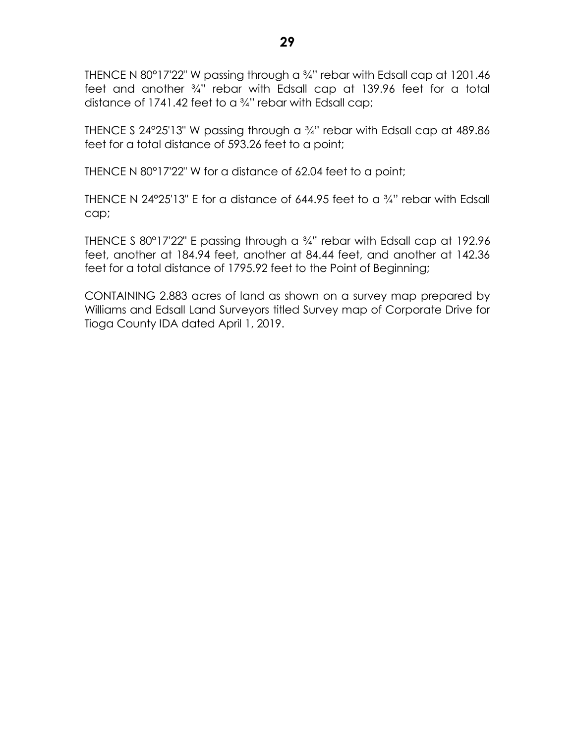THENCE N 80°17'22" W passing through a 3/4" rebar with Edsall cap at 1201.46 feet and another ¾" rebar with Edsall cap at 139.96 feet for a total distance of 1741.42 feet to a ¾" rebar with Edsall cap;

THENCE S 24 $\degree$ 25'13" W passing through a  $\frac{3}{4}$ " rebar with Edsall cap at 489.86 feet for a total distance of 593.26 feet to a point;

THENCE N 80°17'22" W for a distance of 62.04 feet to a point;

THENCE N 24°25'13" E for a distance of 644.95 feet to a ¾" rebar with Edsall cap;

THENCE S 80°17'22" E passing through a ¾" rebar with Edsall cap at 192.96 feet, another at 184.94 feet, another at 84.44 feet, and another at 142.36 feet for a total distance of 1795.92 feet to the Point of Beginning;

CONTAINING 2.883 acres of land as shown on a survey map prepared by Williams and Edsall Land Surveyors titled Survey map of Corporate Drive for Tioga County IDA dated April 1, 2019.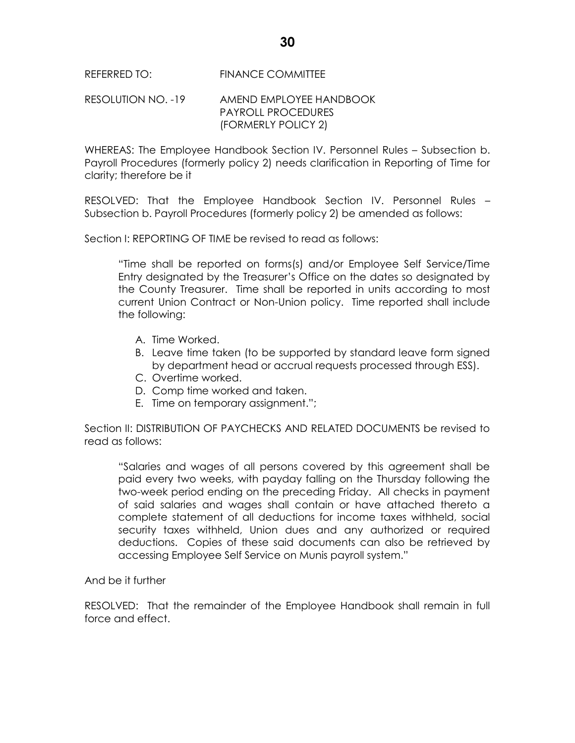REFERRED TO: FINANCE COMMITTEE

#### RESOLUTION NO. -19 AMEND EMPLOYEE HANDBOOK PAYROLL PROCEDURES (FORMERLY POLICY 2)

WHEREAS: The Employee Handbook Section IV. Personnel Rules – Subsection b. Payroll Procedures (formerly policy 2) needs clarification in Reporting of Time for clarity; therefore be it

RESOLVED: That the Employee Handbook Section IV. Personnel Rules – Subsection b. Payroll Procedures (formerly policy 2) be amended as follows:

Section I: REPORTING OF TIME be revised to read as follows:

"Time shall be reported on forms(s) and/or Employee Self Service/Time Entry designated by the Treasurer's Office on the dates so designated by the County Treasurer. Time shall be reported in units according to most current Union Contract or Non-Union policy. Time reported shall include the following:

- A. Time Worked.
- B. Leave time taken (to be supported by standard leave form signed by department head or accrual requests processed through ESS).
- C. Overtime worked.
- D. Comp time worked and taken.
- E. Time on temporary assignment.";

Section II: DISTRIBUTION OF PAYCHECKS AND RELATED DOCUMENTS be revised to read as follows:

"Salaries and wages of all persons covered by this agreement shall be paid every two weeks, with payday falling on the Thursday following the two-week period ending on the preceding Friday. All checks in payment of said salaries and wages shall contain or have attached thereto a complete statement of all deductions for income taxes withheld, social security taxes withheld, Union dues and any authorized or required deductions. Copies of these said documents can also be retrieved by accessing Employee Self Service on Munis payroll system."

And be it further

RESOLVED: That the remainder of the Employee Handbook shall remain in full force and effect.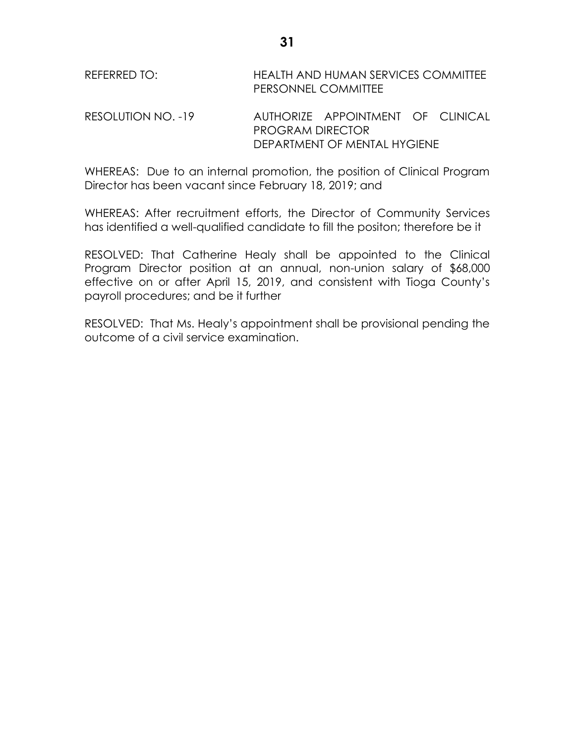| REFERRED TO: | HEALTH AND HUMAN SERVICES COMMITTEE |
|--------------|-------------------------------------|
|              | PERSONNEL COMMITTEE                 |
|              |                                     |

RESOLUTION NO. -19 AUTHORIZE APPOINTMENT OF CLINICAL PROGRAM DIRECTOR DEPARTMENT OF MENTAL HYGIENE

WHEREAS: Due to an internal promotion, the position of Clinical Program Director has been vacant since February 18, 2019; and

WHEREAS: After recruitment efforts, the Director of Community Services has identified a well-qualified candidate to fill the positon; therefore be it

RESOLVED: That Catherine Healy shall be appointed to the Clinical Program Director position at an annual, non-union salary of \$68,000 effective on or after April 15, 2019, and consistent with Tioga County's payroll procedures; and be it further

RESOLVED: That Ms. Healy's appointment shall be provisional pending the outcome of a civil service examination.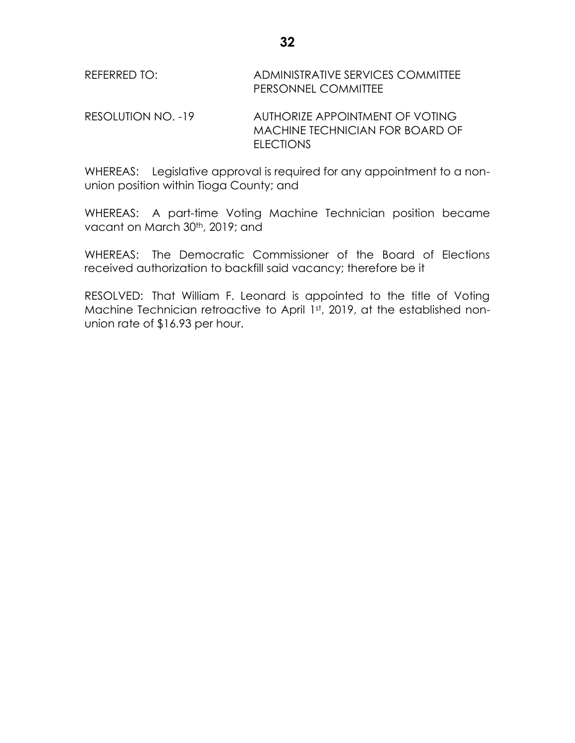# RESOLUTION NO. -19 AUTHORIZE APPOINTMENT OF VOTING MACHINE TECHNICIAN FOR BOARD OF ELECTIONS

WHEREAS: Legislative approval is required for any appointment to a nonunion position within Tioga County; and

WHEREAS: A part-time Voting Machine Technician position became vacant on March 30<sup>th</sup>, 2019; and

WHEREAS: The Democratic Commissioner of the Board of Elections received authorization to backfill said vacancy; therefore be it

RESOLVED: That William F. Leonard is appointed to the title of Voting Machine Technician retroactive to April 1st, 2019, at the established nonunion rate of \$16.93 per hour.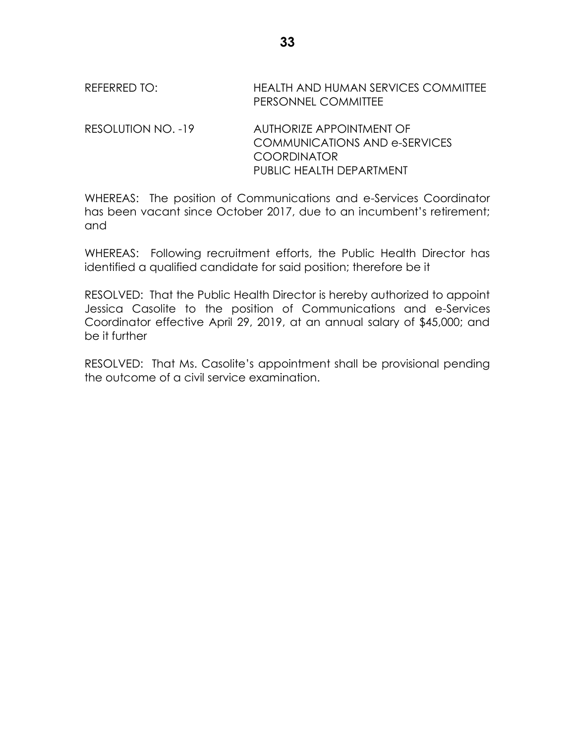# REFERRED TO: HEALTH AND HUMAN SERVICES COMMITTEE PERSONNEL COMMITTEE RESOLUTION NO. -19 AUTHORIZE APPOINTMENT OF COMMUNICATIONS AND e-SERVICES COORDINATOR

WHEREAS: The position of Communications and e-Services Coordinator has been vacant since October 2017, due to an incumbent's retirement; and

PUBLIC HEALTH DEPARTMENT

WHEREAS: Following recruitment efforts, the Public Health Director has identified a qualified candidate for said position; therefore be it

RESOLVED: That the Public Health Director is hereby authorized to appoint Jessica Casolite to the position of Communications and e-Services Coordinator effective April 29, 2019, at an annual salary of \$45,000; and be it further

RESOLVED: That Ms. Casolite's appointment shall be provisional pending the outcome of a civil service examination.